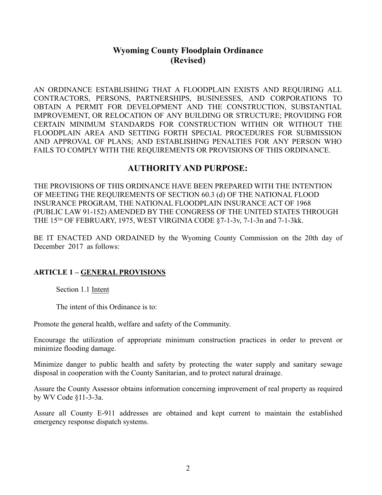# **Wyoming County Floodplain Ordinance (Revised)**

AN ORDINANCE ESTABLISHING THAT A FLOODPLAIN EXISTS AND REQUIRING ALL CONTRACTORS, PERSONS, PARTNERSHIPS, BUSINESSES, AND CORPORATIONS TO OBTAIN A PERMIT FOR DEVELOPMENT AND THE CONSTRUCTION, SUBSTANTIAL IMPROVEMENT, OR RELOCATION OF ANY BUILDING OR STRUCTURE; PROVIDING FOR CERTAIN MINIMUM STANDARDS FOR CONSTRUCTION WITHIN OR WITHOUT THE FLOODPLAIN AREA AND SETTING FORTH SPECIAL PROCEDURES FOR SUBMISSION AND APPROVAL OF PLANS; AND ESTABLISHING PENALTIES FOR ANY PERSON WHO FAILS TO COMPLY WITH THE REQUIREMENTS OR PROVISIONS OF THIS ORDINANCE.

# **AUTHORITY AND PURPOSE:**

THE PROVISIONS OF THIS ORDINANCE HAVE BEEN PREPARED WITH THE INTENTION OF MEETING THE REQUIREMENTS OF SECTION 60.3 (d) OF THE NATIONAL FLOOD INSURANCE PROGRAM, THE NATIONAL FLOODPLAIN INSURANCE ACT OF 1968 (PUBLIC LAW 91-152) AMENDED BY THE CONGRESS OF THE UNITED STATES THROUGH THE 15TH OF FEBRUARY, 1975, WEST VIRGINIA CODE §7-1-3v, 7-1-3n and 7-1-3kk.

BE IT ENACTED AND ORDAINED by the Wyoming County Commission on the 20th day of December 2017 as follows:

## **ARTICLE 1 – GENERAL PROVISIONS**

Section 1.1 Intent

The intent of this Ordinance is to:

Promote the general health, welfare and safety of the Community.

Encourage the utilization of appropriate minimum construction practices in order to prevent or minimize flooding damage.

Minimize danger to public health and safety by protecting the water supply and sanitary sewage disposal in cooperation with the County Sanitarian, and to protect natural drainage.

Assure the County Assessor obtains information concerning improvement of real property as required by WV Code §11-3-3a.

Assure all County E-911 addresses are obtained and kept current to maintain the established emergency response dispatch systems.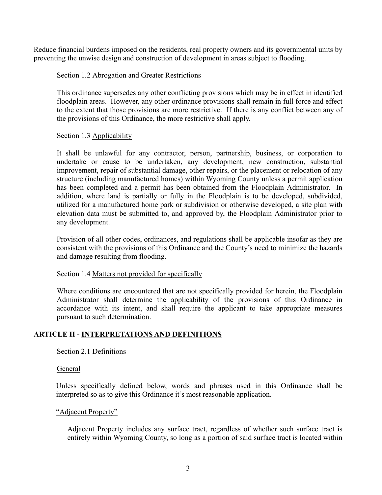Reduce financial burdens imposed on the residents, real property owners and its governmental units by preventing the unwise design and construction of development in areas subject to flooding.

## Section 1.2 Abrogation and Greater Restrictions

This ordinance supersedes any other conflicting provisions which may be in effect in identified floodplain areas. However, any other ordinance provisions shall remain in full force and effect to the extent that those provisions are more restrictive. If there is any conflict between any of the provisions of this Ordinance, the more restrictive shall apply.

## Section 1.3 Applicability

It shall be unlawful for any contractor, person, partnership, business, or corporation to undertake or cause to be undertaken, any development, new construction, substantial improvement, repair of substantial damage, other repairs, or the placement or relocation of any structure (including manufactured homes) within Wyoming County unless a permit application has been completed and a permit has been obtained from the Floodplain Administrator. In addition, where land is partially or fully in the Floodplain is to be developed, subdivided, utilized for a manufactured home park or subdivision or otherwise developed, a site plan with elevation data must be submitted to, and approved by, the Floodplain Administrator prior to any development.

Provision of all other codes, ordinances, and regulations shall be applicable insofar as they are consistent with the provisions of this Ordinance and the County's need to minimize the hazards and damage resulting from flooding.

#### Section 1.4 Matters not provided for specifically

Where conditions are encountered that are not specifically provided for herein, the Floodplain Administrator shall determine the applicability of the provisions of this Ordinance in accordance with its intent, and shall require the applicant to take appropriate measures pursuant to such determination.

# **ARTICLE II - INTERPRETATIONS AND DEFINITIONS**

Section 2.1 Definitions

#### General

Unless specifically defined below, words and phrases used in this Ordinance shall be interpreted so as to give this Ordinance it's most reasonable application.

#### "Adjacent Property"

Adjacent Property includes any surface tract, regardless of whether such surface tract is entirely within Wyoming County, so long as a portion of said surface tract is located within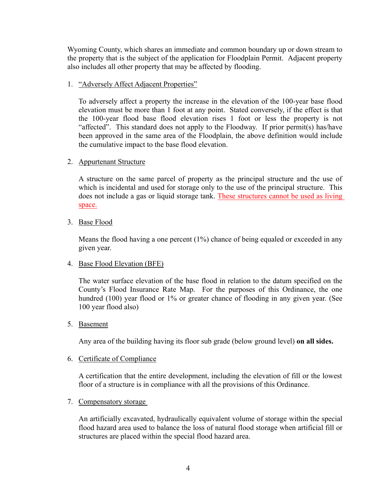Wyoming County, which shares an immediate and common boundary up or down stream to the property that is the subject of the application for Floodplain Permit. Adjacent property also includes all other property that may be affected by flooding.

## 1. "Adversely Affect Adjacent Properties"

To adversely affect a property the increase in the elevation of the 100-year base flood elevation must be more than 1 foot at any point. Stated conversely, if the effect is that the 100-year flood base flood elevation rises 1 foot or less the property is not "affected". This standard does not apply to the Floodway. If prior permit(s) has/have been approved in the same area of the Floodplain, the above definition would include the cumulative impact to the base flood elevation.

#### 2. Appurtenant Structure

A structure on the same parcel of property as the principal structure and the use of which is incidental and used for storage only to the use of the principal structure. This does not include a gas or liquid storage tank. These structures cannot be used as living space.

3. Base Flood<br>Means the flood having a one percent (1%) chance of being equaled or exceeded in any given year.

#### 4. Base Flood Elevation (BFE)

The water surface elevation of the base flood in relation to the datum specified on the County's Flood Insurance Rate Map. For the purposes of this Ordinance, the one hundred (100) year flood or 1% or greater chance of flooding in any given year. (See 100 year flood also)

#### 5. Basement

Any area of the building having its floor sub grade (below ground level) **on all sides.**

#### 6. Certificate of Compliance

A certification that the entire development, including the elevation of fill or the lowest floor of a structure is in compliance with all the provisions of this Ordinance.

#### 7. Compensatory storage

An artificially excavated, hydraulically equivalent volume of storage within the special flood hazard area used to balance the loss of natural flood storage when artificial fill or structures are placed within the special flood hazard area.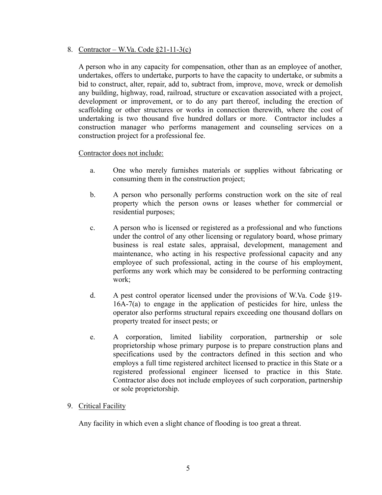## 8. Contractor – W.Va. Code §21-11-3(c)

<sup>A</sup> person who in any capacity for compensation, other than as an employee of another, undertakes, offers to undertake, purports to have the capacity to undertake, or submits a bid to construct, alter, repair, add to, subtract from, improve, move, wreck or demolish any building, highway, road, railroad, structure or excavation associated with a project, development or improvement, or to do any part thereof, including the erection of scaffolding or other structures or works in connection therewith, where the cost of undertaking is two thousand five hundred dollars or more. Contractor includes a construction manager who performs management and counseling services on a construction project for a professional fee.

## Contractor does not include:

- a. One who merely furnishes materials or supplies without fabricating or consuming them in the construction project;
- b. A person who personally performs construction work on the site of real property which the person owns or leases whether for commercial or residential purposes;
- c. A person who is licensed or registered as a professional and who functions under the control of any other licensing or regulatory board, whose primary business is real estate sales, appraisal, development, management and maintenance, who acting in his respective professional capacity and any employee of such professional, acting in the course of his employment, performs any work which may be considered to be performing contracting work;
- d. A pest control operator licensed under the provisions of W.Va. Code §19- 16A-7(a) to engage in the application of pesticides for hire, unless the operator also performs structural repairs exceeding one thousand dollars on property treated for insect pests; or
- e. A corporation, limited liability corporation, partnership or sole proprietorship whose primary purpose is to prepare construction plans and specifications used by the contractors defined in this section and who employs a full time registered architect licensed to practice in this State or a registered professional engineer licensed to practice in this State. Contractor also does not include employees of such corporation, partnership or sole proprietorship.

## 9. Critical Facility

Any facility in which even a slight chance of flooding is too great a threat.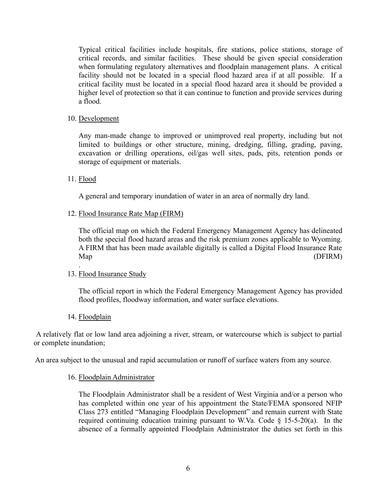Typical critical facilities include hospitals, fire stations, police stations, storage of critical records, and similar facilities. These should be given special consideration when formulating regulatory alternatives and floodplain management plans. A critical facility should not be located in a special flood hazard area if at all possible. If a critical facility must be located in a special flood hazard area it should be provided a higher level of protection so that it can continue to function and provide services during a flood.

#### 10. Development

Any man-made change to improved or unimproved real property, including but not limited to buildings or other structure, mining, dredging, filling, grading, paving, excavation or drilling operations, oil/gas well sites, pads, pits, retention ponds or storage of equipment or materials.

## 11. Flood

A general and temporary inundation of water in an area of normally dry land.

## 12. Flood Insurance Rate Map (FIRM)

The official map on which the Federal Emergency Management Agency has delineated both the special flood hazard areas and the risk premium zones applicable to Wyoming. A FIRM that has been made available digitally is called a Digital Flood Insurance Rate Map (DFIRM)

#### 13. Flood Insurance Study

.

The official report in which the Federal Emergency Management Agency has provided flood profiles, floodway information, and water surface elevations.

#### 14. Floodplain

A relatively flat or low land area adjoining a river, stream, or watercourse which is subject to partial or complete inundation;

An area subject to the unusual and rapid accumulation or runoff of surface waters from any source.

#### 16. Floodplain Administrator

The Floodplain Administrator shall be a resident of West Virginia and/or a person who has completed within one year of his appointment the State/FEMA sponsored NFIP Class 273 entitled "Managing Floodplain Development" and remain current with State required continuing education training pursuant to W.Va. Code  $\S$  15-5-20(a). In the absence of a formally appointed Floodplain Administrator the duties set forth in this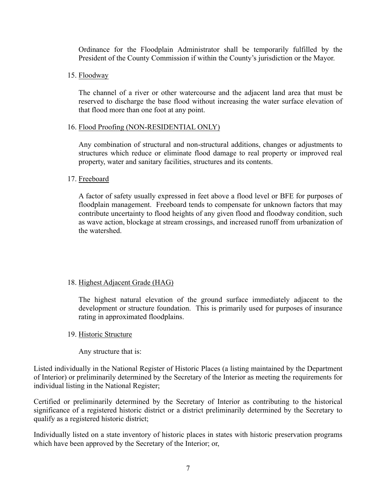Ordinance for the Floodplain Administrator shall be temporarily fulfilled by the President of the County Commission if within the County's jurisdiction or the Mayor.

15. Floodway

The channel of a river or other watercourse and the adjacent land area that must be reserved to discharge the base flood without increasing the water surface elevation of that flood more than one foot at any point.

## 16. Flood Proofing (NON-RESIDENTIAL ONLY)

Any combination of structural and non-structural additions, changes or adjustments to structures which reduce or eliminate flood damage to real property or improved real property, water and sanitary facilities, structures and its contents.

## 17. Freeboard

A factor of safety usually expressed in feet above a flood level or BFE for purposes of floodplain management. Freeboard tends to compensate for unknown factors that may contribute uncertainty to flood heights of any given flood and floodway condition, such as wave action, blockage at stream crossings, and increased runoff from urbanization of the watershed.

## 18. Highest Adjacent Grade (HAG)

The highest natural elevation of the ground surface immediately adjacent to the development or structure foundation. This is primarily used for purposes of insurance rating in approximated floodplains.

## 19. Historic Structure

Any structure that is:

Listed individually in the National Register of Historic Places (a listing maintained by the Department of Interior) or preliminarily determined by the Secretary of the Interior as meeting the requirements for individual listing in the National Register;

Certified or preliminarily determined by the Secretary of Interior as contributing to the historical significance of a registered historic district or a district preliminarily determined by the Secretary to qualify as a registered historic district;

Individually listed on a state inventory of historic places in states with historic preservation programs which have been approved by the Secretary of the Interior; or,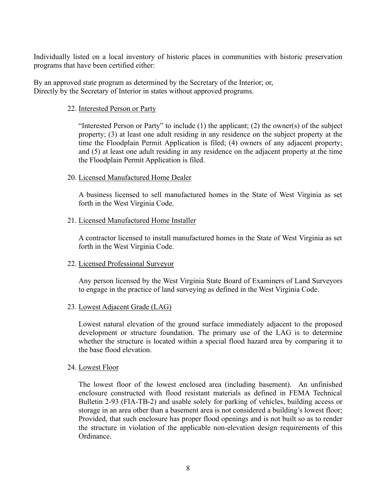Individually listed on a local inventory of historic places in communities with historic preservation programs that have been certified either:

By an approved state program as determined by the Secretary of the Interior; or, Directly by the Secretary of Interior in states without approved programs.

#### 22. Interested Person or Party

"Interested Person or Party" to include  $(1)$  the applicant;  $(2)$  the owner(s) of the subject property; (3) at least one adult residing in any residence on the subject property at the time the Floodplain Permit Application is filed; (4) owners of any adjacent property; and (5) at least one adult residing in any residence on the adjacent property at the time the Floodplain Permit Application is filed.

## 20. Licensed Manufactured Home Dealer

A business licensed to sell manufactured homes in the State of West Virginia as set forth in the West Virginia Code.

## 21. Licensed Manufactured Home Installer

A contractor licensed to install manufactured homes in the State of West Virginia as set forth in the West Virginia Code.

## 22. Licensed Professional Surveyor

Any person licensed by the West Virginia State Board of Examiners of Land Surveyors to engage in the practice of land surveying as defined in the West Virginia Code.

#### 23. Lowest Adjacent Grade (LAG)

Lowest natural elevation of the ground surface immediately adjacent to the proposed development or structure foundation. The primary use of the LAG is to determine whether the structure is located within a special flood hazard area by comparing it to the base flood elevation.

#### 24. Lowest Floor

The lowest floor of the lowest enclosed area (including basement). An unfinished enclosure constructed with flood resistant materials as defined in FEMA Technical Bulletin 2-93 (FIA-TB-2) and usable solely for parking of vehicles, building access or storage in an area other than a basement area is not considered a building's lowest floor; Provided, that such enclosure has proper flood openings and is not built so as to render the structure in violation of the applicable non-elevation design requirements of this Ordinance.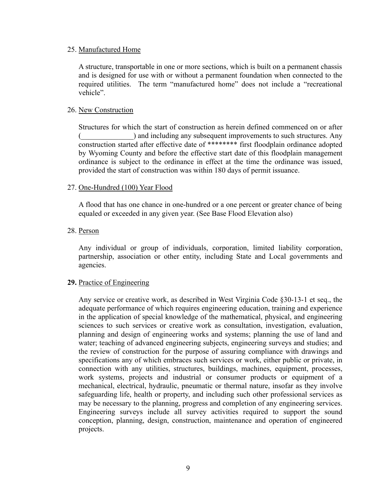#### 25. Manufactured Home

A structure, transportable in one or more sections, which is built on a permanent chassis and is designed for use with or without a permanent foundation when connected to the required utilities. The term "manufactured home" does not include a "recreational vehicle".

#### 26. New Construction

Structures for which the start of construction as herein defined commenced on or after (all and including any subsequent improvements to such structures. Any construction started after effective date of \*\*\*\*\*\*\*\* first floodplain ordinance adopted by Wyoming County and before the effective start date of this floodplain management ordinance is subject to the ordinance in effect at the time the ordinance was issued, provided the start of construction was within 180 days of permit issuance.

#### 27. One-Hundred (100) Year Flood

A flood that has one chance in one-hundred or a one percent or greater chance of being equaled or exceeded in any given year. (See Base Flood Elevation also)

#### 28. Person

Any individual or group of individuals, corporation, limited liability corporation, partnership, association or other entity, including State and Local governments and agencies.

#### **29.** Practice of Engineering

Any service or creative work, as described in West Virginia Code §30-13-1 et seq., the adequate performance of which requires engineering education, training and experience in the application of special knowledge of the mathematical, physical, and engineering sciences to such services or creative work as consultation, investigation, evaluation, planning and design of engineering works and systems; planning the use of land and water; teaching of advanced engineering subjects, engineering surveys and studies; and the review of construction for the purpose of assuring compliance with drawings and specifications any of which embraces such services or work, either public or private, in connection with any utilities, structures, buildings, machines, equipment, processes, work systems, projects and industrial or consumer products or equipment of a mechanical, electrical, hydraulic, pneumatic or thermal nature, insofar as they involve safeguarding life, health or property, and including such other professional services as may be necessary to the planning, progress and completion of any engineering services. Engineering surveys include all survey activities required to support the sound conception, planning, design, construction, maintenance and operation of engineered projects.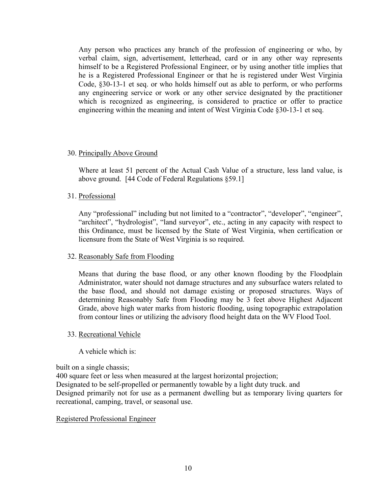Any person who practices any branch of the profession of engineering or who, by verbal claim, sign, advertisement, letterhead, card or in any other way represents himself to be a Registered Professional Engineer, or by using another title implies that he is a Registered Professional Engineer or that he is registered under West Virginia Code, §30-13-1 et seq. or who holds himself out as able to perform, or who performs any engineering service or work or any other service designated by the practitioner which is recognized as engineering, is considered to practice or offer to practice engineering within the meaning and intent of West Virginia Code §30-13-1 et seq.

#### 30. Principally Above Ground

Where at least 51 percent of the Actual Cash Value of a structure, less land value, is above ground. [44 Code of Federal Regulations §59.1]

## 31. Professional

Any "professional" including but not limited to a "contractor", "developer", "engineer", "architect", "hydrologist", "land surveyor", etc., acting in any capacity with respect to this Ordinance, must be licensed by the State of West Virginia, when certification or licensure from the State of West Virginia is so required.

#### 32. Reasonably Safe from Flooding

Means that during the base flood, or any other known flooding by the Floodplain Administrator, water should not damage structures and any subsurface waters related to the base flood, and should not damage existing or proposed structures. Ways of determining Reasonably Safe from Flooding may be 3 feet above Highest Adjacent Grade, above high water marks from historic flooding, using topographic extrapolation from contour lines or utilizing the advisory flood height data on the WV Flood Tool.

#### 33. Recreational Vehicle

A vehicle which is:

built on a single chassis;

400 square feet or less when measured at the largest horizontal projection; Designated to be self-propelled or permanently towable by a light duty truck. and Designed primarily not for use as a permanent dwelling but as temporary living quarters for recreational, camping, travel, or seasonal use.

#### Registered Professional Engineer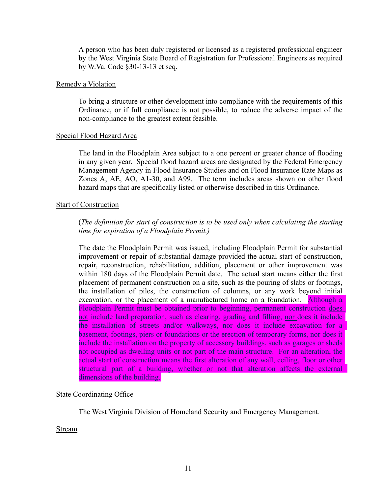A person who has been duly registered or licensed as a registered professional engineer by the West Virginia State Board of Registration for Professional Engineers as required by W.Va. Code §30-13-13 et seq.

#### Remedy a Violation

To bring a structure or other development into compliance with the requirements of this Ordinance, or if full compliance is not possible, to reduce the adverse impact of the non-compliance to the greatest extent feasible.

#### Special Flood Hazard Area

The land in the Floodplain Area subject to a one percent or greater chance of flooding in any given year. Special flood hazard areas are designated by the Federal Emergency Management Agency in Flood Insurance Studies and on Flood Insurance Rate Maps as Zones A, AE, AO, A1-30, and A99. The term includes areas shown on other flood hazard maps that are specifically listed or otherwise described in this Ordinance.

#### Start of Construction

## (*The definition for start of construction is to be used only when calculating the starting time for expiration of a Floodplain Permit.)*

The date the Floodplain Permit was issued, including Floodplain Permit for substantial improvement or repair of substantial damage provided the actual start of construction, repair, reconstruction, rehabilitation, addition, placement or other improvement was within 180 days of the Floodplain Permit date. The actual start means either the first placement of permanent construction on a site, such as the pouring of slabs or footings, the installation of piles, the construction of columns, or any work beyond initial excavation, or the placement of a manufactured home on a foundation. Although a Floodplain Permit must be obtained prior to beginning, permanent construction does not include land preparation, such as clearing, grading and filling, nor does it include the installation of streets and/or walkways, nor does it include excavation for a basement, footings, piers or foundations or the erection of temporary forms, nor does it include the installation on the property of accessory buildings, such as garages or sheds not occupied as dwelling units or not part of the main structure. For an alteration, the actual start of construction means the first alteration of any wall, ceiling, floor or other structural part of a building, whether or not that alteration affects the external dimensions of the building.

#### State Coordinating Office

The West Virginia Division of Homeland Security and Emergency Management.

#### Stream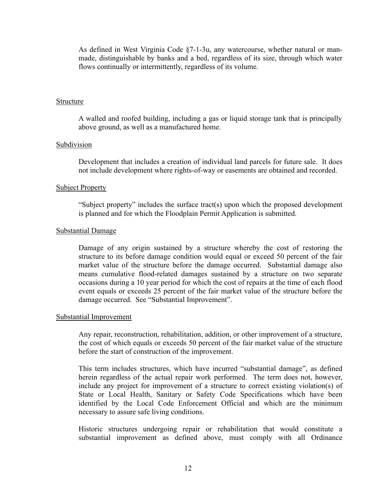As defined in West Virginia Code §7-1-3u, any watercourse, whether natural or manmade, distinguishable by banks and a bed, regardless of its size, through which water flows continually or intermittently, regardless of its volume.

#### Structure

A walled and roofed building, including a gas or liquid storage tank that is principally above ground, as well as a manufactured home.

#### Subdivision

Development that includes a creation of individual land parcels for future sale. It does not include development where rights-of-way or easements are obtained and recorded.

#### Subject Property

"Subject property" includes the surface tract(s) upon which the proposed development is planned and for which the Floodplain Permit Application is submitted.

#### Substantial Damage

Damage of any origin sustained by a structure whereby the cost of restoring the structure to its before damage condition would equal or exceed 50 percent of the fair market value of the structure before the damage occurred. Substantial damage also means cumulative flood-related damages sustained by a structure on two separate occasions during a 10 year period for which the cost of repairs at the time of each flood event equals or exceeds 25 percent of the fair market value of the structure before the damage occurred. See "Substantial Improvement".

#### Substantial Improvement

Any repair, reconstruction, rehabilitation, addition, or other improvement of a structure, the cost of which equals or exceeds 50 percent of the fair market value of the structure before the start of construction of the improvement.

This term includes structures, which have incurred "substantial damage", as defined herein regardless of the actual repair work performed. The term does not, however, include any project for improvement of a structure to correct existing violation(s) of State or Local Health, Sanitary or Safety Code Specifications which have been identified by the Local Code Enforcement Official and which are the minimum necessary to assure safe living conditions.

Historic structures undergoing repair or rehabilitation that would constitute a substantial improvement as defined above, must comply with all Ordinance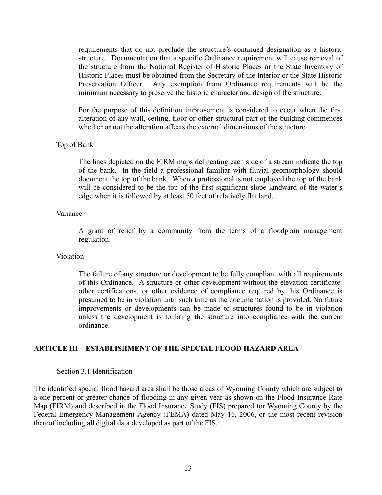requirements that do not preclude the structure's continued designation as a historic structure. Documentation that a specific Ordinance requirement will cause removal of the structure from the National Register of Historic Places or the State Inventory of Historic Places must be obtained from the Secretary of the Interior or the State Historic Preservation Officer. Any exemption from Ordinance requirements will be the minimum necessary to preserve the historic character and design of the structure.

For the purpose of this definition improvement is considered to occur when the first alteration of any wall, ceiling, floor or other structural part of the building commences whether or not the alteration affects the external dimensions of the structure.

#### Top of Bank

The lines depicted on the FIRM maps delineating each side of a stream indicate the top of the bank. In the field a professional familiar with fluvial geomorphology should document the top of the bank. When a professional is not employed the top of the bank will be considered to be the top of the first significant slope landward of the water's edge when it is followed by at least 50 feet of relatively flat land.

#### Variance

A grant of relief by a community from the terms of a floodplain management regulation.

#### Violation

The failure of any structure or development to be fully compliant with all requirements of this Ordinance. A structure or other development without the elevation certificate, other certifications, or other evidence of compliance required by this Ordinance is presumed to be in violation until such time as the documentation is provided. No future improvements or developments can be made to structures found to be in violation unless the development is to bring the structure into compliance with the current ordinance.

## **ARTICLE III – ESTABLISHMENT OF THE SPECIAL FLOOD HAZARD AREA**

#### Section 3.1 Identification

The identified special flood hazard area shall be those areas of Wyoming County which are subject to a one percent or greater chance of flooding in any given year as shown on the Flood Insurance Rate Map (FIRM) and described in the Flood Insurance Study (FIS) prepared for Wyoming County by the Federal Emergency Management Agency (FEMA) dated May 16, 2006, or the most recent revision thereof including all digital data developed as part of the FIS.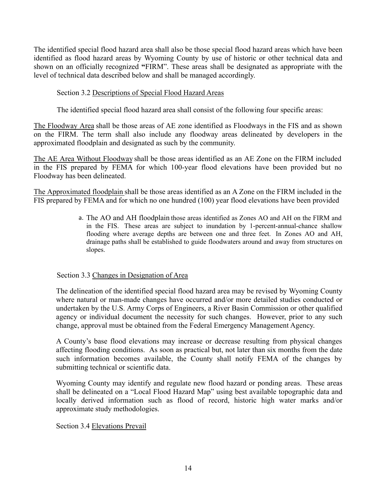The identified special flood hazard area shall also be those special flood hazard areas which have been identified as flood hazard areas by Wyoming County by use of historic or other technical data and shown on an officially recognized **"**FIRM". These areas shall be designated as appropriate with the level of technical data described below and shall be managed accordingly.

# Section 3.2 Descriptions of Special Flood Hazard Areas

The identified special flood hazard area shall consist of the following four specific areas:

The Floodway Area shall be those areas of AE zone identified as Floodways in the FIS and as shown on the FIRM. The term shall also include any floodway areas delineated by developers in the approximated floodplain and designated as such by the community.

The AE Area Without Floodway shall be those areas identified as an AE Zone on the FIRM included in the FIS prepared by FEMA for which 100-year flood elevations have been provided but no Floodway has been delineated.

The Approximated floodplain shall be those areas identified as an A Zone on the FIRM included in the FIS prepared by FEMA and for which no one hundred (100) year flood elevations have been provided

> a. The AO and AH floodplain those areas identified as Zones AO and AH on the FIRM and in the FIS. These areas are subject to inundation by 1-percent-annual-chance shallow flooding where average depths are between one and three feet. In Zones AO and AH, drainage paths shall be established to guide floodwaters around and away from structures on slopes.

## Section 3.3 Changes in Designation of Area

The delineation of the identified special flood hazard area may be revised by Wyoming County where natural or man-made changes have occurred and/or more detailed studies conducted or undertaken by the U.S. Army Corps of Engineers, a River Basin Commission or other qualified agency or individual document the necessity for such changes. However, prior to any such change, approval must be obtained from the Federal Emergency Management Agency.

A County's base flood elevations may increase or decrease resulting from physical changes affecting flooding conditions. As soon as practical but, not later than six months from the date such information becomes available, the County shall notify FEMA of the changes by submitting technical or scientific data.

Wyoming County may identify and regulate new flood hazard or ponding areas. These areas shall be delineated on a "Local Flood Hazard Map" using best available topographic data and locally derived information such as flood of record, historic high water marks and/or approximate study methodologies.

Section 3.4 Elevations Prevail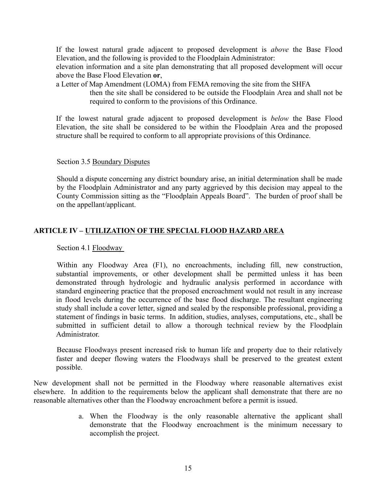If the lowest natural grade adjacent to proposed development is *above* the Base Flood Elevation, and the following is provided to the Floodplain Administrator:

elevation information and a site plan demonstrating that all proposed development will occur above the Base Flood Elevation **or**,

a Letter of Map Amendment (LOMA) from FEMA removing the site from the SHFA

then the site shall be considered to be outside the Floodplain Area and shall not be required to conform to the provisions of this Ordinance.

If the lowest natural grade adjacent to proposed development is *below* the Base Flood Elevation, the site shall be considered to be within the Floodplain Area and the proposed structure shall be required to conform to all appropriate provisions of this Ordinance.

#### Section 3.5 Boundary Disputes

Should a dispute concerning any district boundary arise, an initial determination shall be made by the Floodplain Administrator and any party aggrieved by this decision may appeal to the County Commission sitting as the "Floodplain Appeals Board". The burden of proof shall be on the appellant/applicant.

# **ARTICLE IV – UTILIZATION OF THE SPECIAL FLOOD HAZARD AREA**

Section 4.1 Floodway

Within any Floodway Area (F1), no encroachments, including fill, new construction, substantial improvements, or other development shall be permitted unless it has been demonstrated through hydrologic and hydraulic analysis performed in accordance with standard engineering practice that the proposed encroachment would not result in any increase in flood levels during the occurrence of the base flood discharge. The resultant engineering study shall include a cover letter, signed and sealed by the responsible professional, providing a statement of findings in basic terms. In addition, studies, analyses, computations, etc., shall be submitted in sufficient detail to allow a thorough technical review by the Floodplain Administrator.

Because Floodways present increased risk to human life and property due to their relatively faster and deeper flowing waters the Floodways shall be preserved to the greatest extent possible.

New development shall not be permitted in the Floodway where reasonable alternatives exist elsewhere. In addition to the requirements below the applicant shall demonstrate that there are no reasonable alternatives other than the Floodway encroachment before a permit is issued.

> a. When the Floodway is the only reasonable alternative the applicant shall demonstrate that the Floodway encroachment is the minimum necessary to accomplish the project.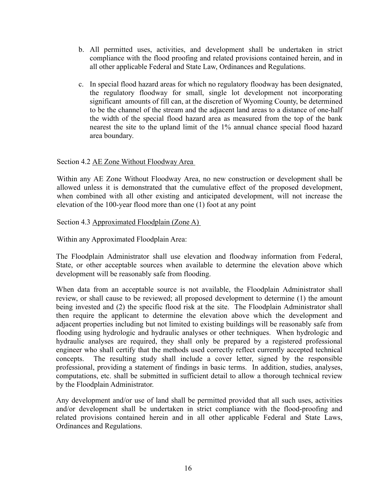- b. All permitted uses, activities, and development shall be undertaken in strict compliance with the flood proofing and related provisions contained herein, and in all other applicable Federal and State Law, Ordinances and Regulations.
- c. In special flood hazard areas for which no regulatory floodway has been designated, the regulatory floodway for small, single lot development not incorporating significant amounts of fill can, at the discretion of Wyoming County, be determined to be the channel of the stream and the adjacent land areas to a distance of one-half the width of the special flood hazard area as measured from the top of the bank nearest the site to the upland limit of the 1% annual chance special flood hazard area boundary.

## Section 4.2 AE Zone Without Floodway Area

Within any AE Zone Without Floodway Area, no new construction or development shall be allowed unless it is demonstrated that the cumulative effect of the proposed development, when combined with all other existing and anticipated development, will not increase the elevation of the 100-year flood more than one (1) foot at any point

Section 4.3 Approximated Floodplain (Zone A)

Within any Approximated Floodplain Area:

The Floodplain Administrator shall use elevation and floodway information from Federal, State, or other acceptable sources when available to determine the elevation above which development will be reasonably safe from flooding.

When data from an acceptable source is not available, the Floodplain Administrator shall review, or shall cause to be reviewed; all proposed development to determine (1) the amount being invested and (2) the specific flood risk at the site. The Floodplain Administrator shall then require the applicant to determine the elevation above which the development and adjacent properties including but not limited to existing buildings will be reasonably safe from flooding using hydrologic and hydraulic analyses or other techniques. When hydrologic and hydraulic analyses are required, they shall only be prepared by a registered professional engineer who shall certify that the methods used correctly reflect currently accepted technical concepts. The resulting study shall include a cover letter, signed by the responsible professional, providing a statement of findings in basic terms. In addition, studies, analyses, computations, etc. shall be submitted in sufficient detail to allow a thorough technical review by the Floodplain Administrator.

Any development and/or use of land shall be permitted provided that all such uses, activities and/or development shall be undertaken in strict compliance with the flood-proofing and related provisions contained herein and in all other applicable Federal and State Laws, Ordinances and Regulations.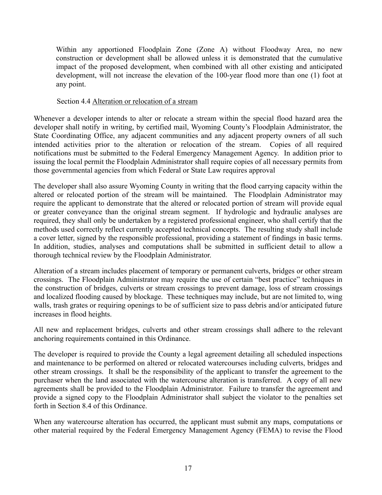Within any apportioned Floodplain Zone (Zone A) without Floodway Area, no new construction or development shall be allowed unless it is demonstrated that the cumulative impact of the proposed development, when combined with all other existing and anticipated development, will not increase the elevation of the 100-year flood more than one (1) foot at any point.

## Section 4.4 Alteration or relocation of a stream

Whenever a developer intends to alter or relocate a stream within the special flood hazard area the developer shall notify in writing, by certified mail, Wyoming County's Floodplain Administrator, the State Coordinating Office, any adjacent communities and any adjacent property owners of all such intended activities prior to the alteration or relocation of the stream. Copies of all required notifications must be submitted to the Federal Emergency Management Agency. In addition prior to issuing the local permit the Floodplain Administrator shall require copies of all necessary permits from those governmental agencies from which Federal or State Law requires approval

The developer shall also assure Wyoming County in writing that the flood carrying capacity within the altered or relocated portion of the stream will be maintained. The Floodplain Administrator may require the applicant to demonstrate that the altered or relocated portion of stream will provide equal or greater conveyance than the original stream segment. If hydrologic and hydraulic analyses are required, they shall only be undertaken by a registered professional engineer, who shall certify that the methods used correctly reflect currently accepted technical concepts. The resulting study shall include a cover letter, signed by the responsible professional, providing a statement of findings in basic terms. In addition, studies, analyses and computations shall be submitted in sufficient detail to allow a thorough technical review by the Floodplain Administrator.

Alteration of a stream includes placement of temporary or permanent culverts, bridges or other stream crossings. The Floodplain Administrator may require the use of certain "best practice" techniques in the construction of bridges, culverts or stream crossings to prevent damage, loss of stream crossings and localized flooding caused by blockage. These techniques may include, but are not limited to, wing walls, trash grates or requiring openings to be of sufficient size to pass debris and/or anticipated future increases in flood heights.

All new and replacement bridges, culverts and other stream crossings shall adhere to the relevant anchoring requirements contained in this Ordinance.

The developer is required to provide the County a legal agreement detailing all scheduled inspections and maintenance to be performed on altered or relocated watercourses including culverts, bridges and other stream crossings. It shall be the responsibility of the applicant to transfer the agreement to the purchaser when the land associated with the watercourse alteration is transferred. A copy of all new agreements shall be provided to the Floodplain Administrator. Failure to transfer the agreement and provide a signed copy to the Floodplain Administrator shall subject the violator to the penalties set forth in Section 8.4 of this Ordinance.

When any watercourse alteration has occurred, the applicant must submit any maps, computations or other material required by the Federal Emergency Management Agency (FEMA) to revise the Flood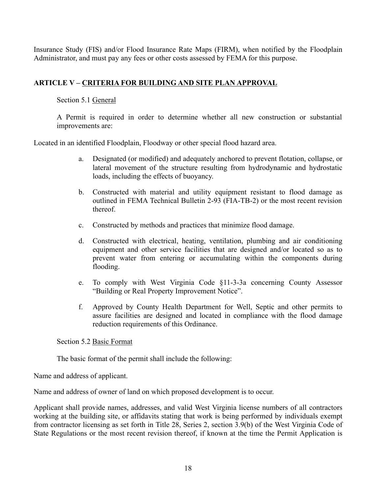Insurance Study (FIS) and/or Flood Insurance Rate Maps (FIRM), when notified by the Floodplain Administrator, and must pay any fees or other costs assessed by FEMA for this purpose.

# **ARTICLE V – CRITERIA FOR BUILDING AND SITE PLAN APPROVAL**

Section 5.1 General

A Permit is required in order to determine whether all new construction or substantial improvements are:

Located in an identified Floodplain, Floodway or other special flood hazard area.

- a. Designated (or modified) and adequately anchored to prevent flotation, collapse, or lateral movement of the structure resulting from hydrodynamic and hydrostatic loads, including the effects of buoyancy.
- b. Constructed with material and utility equipment resistant to flood damage as outlined in FEMA Technical Bulletin 2-93 (FIA-TB-2) or the most recent revision thereof.
- c. Constructed by methods and practices that minimize flood damage.
- d. Constructed with electrical, heating, ventilation, plumbing and air conditioning equipment and other service facilities that are designed and/or located so as to prevent water from entering or accumulating within the components during flooding.
- e. To comply with West Virginia Code §11-3-3a concerning County Assessor "Building or Real Property Improvement Notice".
- f. Approved by County Health Department for Well, Septic and other permits to assure facilities are designed and located in compliance with the flood damage reduction requirements of this Ordinance.

Section 5.2 Basic Format

The basic format of the permit shall include the following:

Name and address of applicant.

Name and address of owner of land on which proposed development is to occur.

Applicant shall provide names, addresses, and valid West Virginia license numbers of all contractors working at the building site, or affidavits stating that work is being performed by individuals exempt from contractor licensing as set forth in Title 28, Series 2, section 3.9(b) of the West Virginia Code of State Regulations or the most recent revision thereof, if known at the time the Permit Application is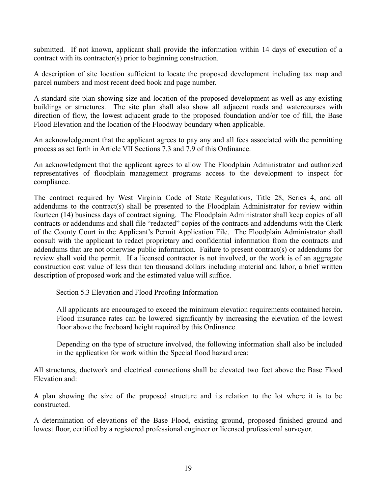submitted. If not known, applicant shall provide the information within 14 days of execution of a contract with its contractor(s) prior to beginning construction.

A description of site location sufficient to locate the proposed development including tax map and parcel numbers and most recent deed book and page number.

A standard site plan showing size and location of the proposed development as well as any existing buildings or structures. The site plan shall also show all adjacent roads and watercourses with direction of flow, the lowest adjacent grade to the proposed foundation and/or toe of fill, the Base Flood Elevation and the location of the Floodway boundary when applicable.

An acknowledgement that the applicant agrees to pay any and all fees associated with the permitting process as set forth in Article VII Sections 7.3 and 7.9 of this Ordinance.

An acknowledgment that the applicant agrees to allow The Floodplain Administrator and authorized representatives of floodplain management programs access to the development to inspect for compliance.

The contract required by West Virginia Code of State Regulations, Title 28, Series 4, and all addendums to the contract(s) shall be presented to the Floodplain Administrator for review within fourteen (14) business days of contract signing. The Floodplain Administrator shall keep copies of all contracts or addendums and shall file "redacted" copies of the contracts and addendums with the Clerk of the County Court in the Applicant's Permit Application File. The Floodplain Administrator shall consult with the applicant to redact proprietary and confidential information from the contracts and addendums that are not otherwise public information. Failure to present contract(s) or addendums for review shall void the permit. If a licensed contractor is not involved, or the work is of an aggregate construction cost value of less than ten thousand dollars including material and labor, a brief written description of proposed work and the estimated value will suffice.

Section 5.3 Elevation and Flood Proofing Information

All applicants are encouraged to exceed the minimum elevation requirements contained herein. Flood insurance rates can be lowered significantly by increasing the elevation of the lowest floor above the freeboard height required by this Ordinance.

Depending on the type of structure involved, the following information shall also be included in the application for work within the Special flood hazard area:

All structures, ductwork and electrical connections shall be elevated two feet above the Base Flood Elevation and:

A plan showing the size of the proposed structure and its relation to the lot where it is to be constructed.

A determination of elevations of the Base Flood, existing ground, proposed finished ground and lowest floor, certified by a registered professional engineer or licensed professional surveyor.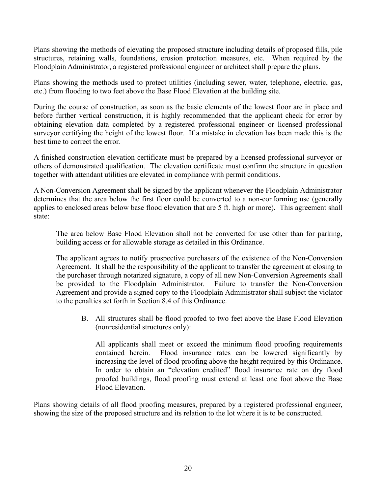Plans showing the methods of elevating the proposed structure including details of proposed fills, pile structures, retaining walls, foundations, erosion protection measures, etc. When required by the Floodplain Administrator, a registered professional engineer or architect shall prepare the plans.

Plans showing the methods used to protect utilities (including sewer, water, telephone, electric, gas, etc.) from flooding to two feet above the Base Flood Elevation at the building site.

During the course of construction, as soon as the basic elements of the lowest floor are in place and before further vertical construction, it is highly recommended that the applicant check for error by obtaining elevation data completed by a registered professional engineer or licensed professional surveyor certifying the height of the lowest floor. If a mistake in elevation has been made this is the best time to correct the error.

A finished construction elevation certificate must be prepared by a licensed professional surveyor or others of demonstrated qualification. The elevation certificate must confirm the structure in question together with attendant utilities are elevated in compliance with permit conditions.

A Non-Conversion Agreement shall be signed by the applicant whenever the Floodplain Administrator determines that the area below the first floor could be converted to a non-conforming use (generally applies to enclosed areas below base flood elevation that are 5 ft. high or more). This agreement shall state:

The area below Base Flood Elevation shall not be converted for use other than for parking, building access or for allowable storage as detailed in this Ordinance.

The applicant agrees to notify prospective purchasers of the existence of the Non-Conversion Agreement. It shall be the responsibility of the applicant to transfer the agreement at closing to the purchaser through notarized signature, a copy of all new Non-Conversion Agreements shall be provided to the Floodplain Administrator. Failure to transfer the Non-Conversion Agreement and provide a signed copy to the Floodplain Administrator shall subject the violator to the penalties set forth in Section 8.4 of this Ordinance.

B. All structures shall be flood proofed to two feet above the Base Flood Elevation (nonresidential structures only):

All applicants shall meet or exceed the minimum flood proofing requirements contained herein. Flood insurance rates can be lowered significantly by increasing the level of flood proofing above the height required by this Ordinance. In order to obtain an "elevation credited" flood insurance rate on dry flood proofed buildings, flood proofing must extend at least one foot above the Base Flood Elevation.

Plans showing details of all flood proofing measures, prepared by a registered professional engineer, showing the size of the proposed structure and its relation to the lot where it is to be constructed.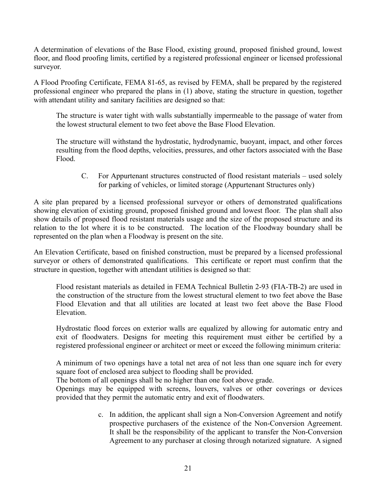A determination of elevations of the Base Flood, existing ground, proposed finished ground, lowest floor, and flood proofing limits, certified by a registered professional engineer or licensed professional surveyor.

A Flood Proofing Certificate, FEMA 81-65, as revised by FEMA, shall be prepared by the registered professional engineer who prepared the plans in (1) above, stating the structure in question, together with attendant utility and sanitary facilities are designed so that:

The structure is water tight with walls substantially impermeable to the passage of water from the lowest structural element to two feet above the Base Flood Elevation.

The structure will withstand the hydrostatic, hydrodynamic, buoyant, impact, and other forces resulting from the flood depths, velocities, pressures, and other factors associated with the Base Flood.

C. For Appurtenant structures constructed of flood resistant materials – used solely for parking of vehicles, or limited storage (Appurtenant Structures only)

A site plan prepared by a licensed professional surveyor or others of demonstrated qualifications showing elevation of existing ground, proposed finished ground and lowest floor. The plan shall also show details of proposed flood resistant materials usage and the size of the proposed structure and its relation to the lot where it is to be constructed. The location of the Floodway boundary shall be represented on the plan when a Floodway is present on the site.

An Elevation Certificate, based on finished construction, must be prepared by a licensed professional surveyor or others of demonstrated qualifications. This certificate or report must confirm that the structure in question, together with attendant utilities is designed so that:

Flood resistant materials as detailed in FEMA Technical Bulletin 2-93 (FIA-TB-2) are used in the construction of the structure from the lowest structural element to two feet above the Base Flood Elevation and that all utilities are located at least two feet above the Base Flood Elevation.

Hydrostatic flood forces on exterior walls are equalized by allowing for automatic entry and exit of floodwaters. Designs for meeting this requirement must either be certified by a registered professional engineer or architect or meet or exceed the following minimum criteria:

A minimum of two openings have a total net area of not less than one square inch for every square foot of enclosed area subject to flooding shall be provided.

The bottom of all openings shall be no higher than one foot above grade.

Openings may be equipped with screens, louvers, valves or other coverings or devices provided that they permit the automatic entry and exit of floodwaters.

> c. In addition, the applicant shall sign a Non-Conversion Agreement and notify prospective purchasers of the existence of the Non-Conversion Agreement. It shall be the responsibility of the applicant to transfer the Non-Conversion Agreement to any purchaser at closing through notarized signature. A signed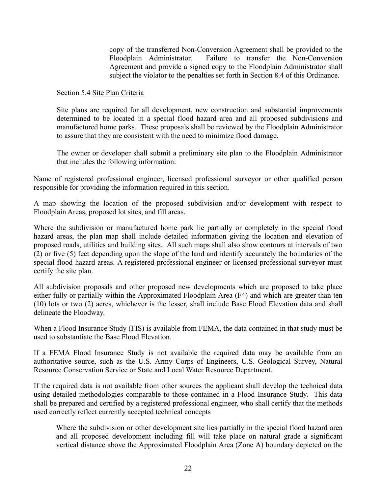copy of the transferred Non-Conversion Agreement shall be provided to the Floodplain Administrator. Failure to transfer the Non-Conversion Agreement and provide a signed copy to the Floodplain Administrator shall subject the violator to the penalties set forth in Section 8.4 of this Ordinance.

Section 5.4 Site Plan Criteria

Site plans are required for all development, new construction and substantial improvements determined to be located in a special flood hazard area and all proposed subdivisions and manufactured home parks. These proposals shall be reviewed by the Floodplain Administrator to assure that they are consistent with the need to minimize flood damage.

The owner or developer shall submit a preliminary site plan to the Floodplain Administrator that includes the following information:

Name of registered professional engineer, licensed professional surveyor or other qualified person responsible for providing the information required in this section.

A map showing the location of the proposed subdivision and/or development with respect to Floodplain Areas, proposed lot sites, and fill areas.

Where the subdivision or manufactured home park lie partially or completely in the special flood hazard areas, the plan map shall include detailed information giving the location and elevation of proposed roads, utilities and building sites. All such maps shall also show contours at intervals of two (2) or five (5) feet depending upon the slope of the land and identify accurately the boundaries of the special flood hazard areas. A registered professional engineer or licensed professional surveyor must certify the site plan.

All subdivision proposals and other proposed new developments which are proposed to take place either fully or partially within the Approximated Floodplain Area (F4) and which are greater than ten (10) lots or two (2) acres, whichever is the lesser, shall include Base Flood Elevation data and shall delineate the Floodway.

When a Flood Insurance Study (FIS) is available from FEMA, the data contained in that study must be used to substantiate the Base Flood Elevation.

If a FEMA Flood Insurance Study is not available the required data may be available from an authoritative source, such as the U.S. Army Corps of Engineers, U.S. Geological Survey, Natural Resource Conservation Service or State and Local Water Resource Department.

If the required data is not available from other sources the applicant shall develop the technical data using detailed methodologies comparable to those contained in a Flood Insurance Study. This data shall be prepared and certified by a registered professional engineer, who shall certify that the methods used correctly reflect currently accepted technical concepts

Where the subdivision or other development site lies partially in the special flood hazard area and all proposed development including fill will take place on natural grade a significant vertical distance above the Approximated Floodplain Area (Zone A) boundary depicted on the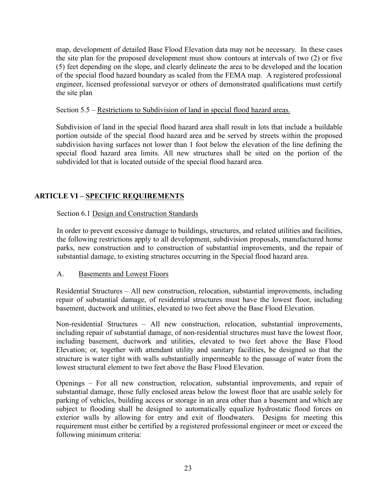map, development of detailed Base Flood Elevation data may not be necessary. In these cases the site plan for the proposed development must show contours at intervals of two (2) or five (5) feet depending on the slope, and clearly delineate the area to be developed and the location of the special flood hazard boundary as scaled from the FEMA map. A registered professional engineer, licensed professional surveyor or others of demonstrated qualifications must certify the site plan

#### Section 5.5 – Restrictions to Subdivision of land in special flood hazard areas.

Subdivision of land in the special flood hazard area shall result in lots that include a buildable portion outside of the special flood hazard area and be served by streets within the proposed subdivision having surfaces not lower than 1 foot below the elevation of the line defining the special flood hazard area limits. All new structures shall be sited on the portion of the subdivided lot that is located outside of the special flood hazard area.

## **ARTICLE VI – SPECIFIC REQUIREMENTS**

## Section 6.1 Design and Construction Standards

In order to prevent excessive damage to buildings, structures, and related utilities and facilities, the following restrictions apply to all development, subdivision proposals, manufactured home parks, new construction and to construction of substantial improvements, and the repair of substantial damage, to existing structures occurring in the Special flood hazard area.

#### A. Basements and Lowest Floors

Residential Structures – All new construction, relocation, substantial improvements, including repair of substantial damage, of residential structures must have the lowest floor, including basement, ductwork and utilities, elevated to two feet above the Base Flood Elevation.

Non-residential Structures – All new construction, relocation, substantial improvements, including repair of substantial damage, of non-residential structures must have the lowest floor, including basement, ductwork and utilities, elevated to two feet above the Base Flood Elevation; or, together with attendant utility and sanitary facilities, be designed so that the structure is water tight with walls substantially impermeable to the passage of water from the lowest structural element to two feet above the Base Flood Elevation.

Openings – For all new construction, relocation, substantial improvements, and repair of substantial damage, those fully enclosed areas below the lowest floor that are usable solely for parking of vehicles, building access or storage in an area other than a basement and which are subject to flooding shall be designed to automatically equalize hydrostatic flood forces on exterior walls by allowing for entry and exit of floodwaters. Designs for meeting this requirement must either be certified by a registered professional engineer or meet or exceed the following minimum criteria: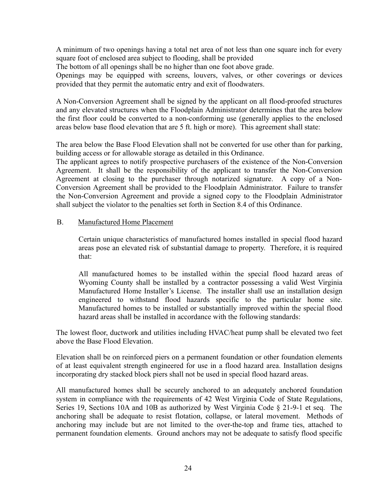A minimum of two openings having a total net area of not less than one square inch for every square foot of enclosed area subject to flooding, shall be provided

The bottom of all openings shall be no higher than one foot above grade.

Openings may be equipped with screens, louvers, valves, or other coverings or devices provided that they permit the automatic entry and exit of floodwaters.

A Non-Conversion Agreement shall be signed by the applicant on all flood-proofed structures and any elevated structures when the Floodplain Administrator determines that the area below the first floor could be converted to a non-conforming use (generally applies to the enclosed areas below base flood elevation that are 5 ft. high or more). This agreement shall state:

The area below the Base Flood Elevation shall not be converted for use other than for parking, building access or for allowable storage as detailed in this Ordinance.

The applicant agrees to notify prospective purchasers of the existence of the Non-Conversion Agreement. It shall be the responsibility of the applicant to transfer the Non-Conversion Agreement at closing to the purchaser through notarized signature. A copy of a Non-Conversion Agreement shall be provided to the Floodplain Administrator. Failure to transfer the Non-Conversion Agreement and provide a signed copy to the Floodplain Administrator shall subject the violator to the penalties set forth in Section 8.4 of this Ordinance.

#### B. Manufactured Home Placement

Certain unique characteristics of manufactured homes installed in special flood hazard areas pose an elevated risk of substantial damage to property. Therefore, it is required that:

All manufactured homes to be installed within the special flood hazard areas of Wyoming County shall be installed by a contractor possessing a valid West Virginia Manufactured Home Installer's License. The installer shall use an installation design engineered to withstand flood hazards specific to the particular home site. Manufactured homes to be installed or substantially improved within the special flood hazard areas shall be installed in accordance with the following standards:

The lowest floor, ductwork and utilities including HVAC/heat pump shall be elevated two feet above the Base Flood Elevation.

Elevation shall be on reinforced piers on a permanent foundation or other foundation elements of at least equivalent strength engineered for use in a flood hazard area. Installation designs incorporating dry stacked block piers shall not be used in special flood hazard areas.

All manufactured homes shall be securely anchored to an adequately anchored foundation system in compliance with the requirements of 42 West Virginia Code of State Regulations, Series 19, Sections 10A and 10B as authorized by West Virginia Code § 21-9-1 et seq. The anchoring shall be adequate to resist flotation, collapse, or lateral movement. Methods of anchoring may include but are not limited to the over-the-top and frame ties, attached to permanent foundation elements. Ground anchors may not be adequate to satisfy flood specific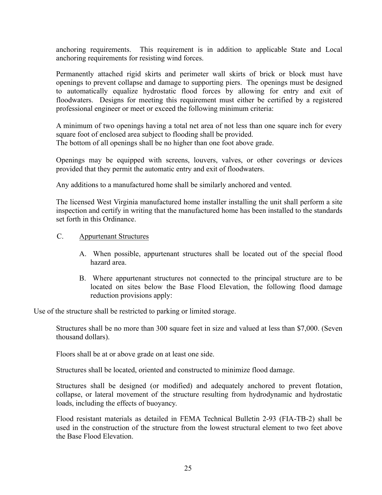anchoring requirements. This requirement is in addition to applicable State and Local anchoring requirements for resisting wind forces.

Permanently attached rigid skirts and perimeter wall skirts of brick or block must have openings to prevent collapse and damage to supporting piers. The openings must be designed to automatically equalize hydrostatic flood forces by allowing for entry and exit of floodwaters. Designs for meeting this requirement must either be certified by a registered professional engineer or meet or exceed the following minimum criteria:

A minimum of two openings having a total net area of not less than one square inch for every square foot of enclosed area subject to flooding shall be provided. The bottom of all openings shall be no higher than one foot above grade.

Openings may be equipped with screens, louvers, valves, or other coverings or devices provided that they permit the automatic entry and exit of floodwaters.

Any additions to a manufactured home shall be similarly anchored and vented.

The licensed West Virginia manufactured home installer installing the unit shall perform a site inspection and certify in writing that the manufactured home has been installed to the standards set forth in this Ordinance.

- C. Appurtenant Structures
	- A. When possible, appurtenant structures shall be located out of the special flood hazard area.
	- B. Where appurtenant structures not connected to the principal structure are to be located on sites below the Base Flood Elevation, the following flood damage reduction provisions apply:

Use of the structure shall be restricted to parking or limited storage.

Structures shall be no more than 300 square feet in size and valued at less than \$7,000. (Seven thousand dollars).

Floors shall be at or above grade on at least one side.

Structures shall be located, oriented and constructed to minimize flood damage.

Structures shall be designed (or modified) and adequately anchored to prevent flotation, collapse, or lateral movement of the structure resulting from hydrodynamic and hydrostatic loads, including the effects of buoyancy.

Flood resistant materials as detailed in FEMA Technical Bulletin 2-93 (FIA-TB-2) shall be used in the construction of the structure from the lowest structural element to two feet above the Base Flood Elevation.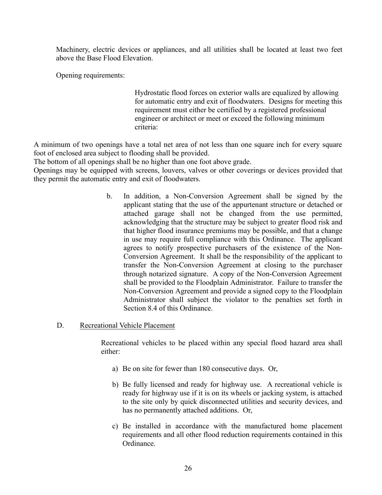Machinery, electric devices or appliances, and all utilities shall be located at least two feet above the Base Flood Elevation.

Opening requirements:

Hydrostatic flood forces on exterior walls are equalized by allowing for automatic entry and exit of floodwaters. Designs for meeting this requirement must either be certified by a registered professional engineer or architect or meet or exceed the following minimum criteria:

A minimum of two openings have a total net area of not less than one square inch for every square foot of enclosed area subject to flooding shall be provided.

The bottom of all openings shall be no higher than one foot above grade.

Openings may be equipped with screens, louvers, valves or other coverings or devices provided that they permit the automatic entry and exit of floodwaters.

- b. In addition, a Non-Conversion Agreement shall be signed by the applicant stating that the use of the appurtenant structure or detached or attached garage shall not be changed from the use permitted, acknowledging that the structure may be subject to greater flood risk and that higher flood insurance premiums may be possible, and that a change in use may require full compliance with this Ordinance. The applicant agrees to notify prospective purchasers of the existence of the Non-Conversion Agreement. It shall be the responsibility of the applicant to transfer the Non-Conversion Agreement at closing to the purchaser through notarized signature. A copy of the Non-Conversion Agreement shall be provided to the Floodplain Administrator. Failure to transfer the Non-Conversion Agreement and provide a signed copy to the Floodplain Administrator shall subject the violator to the penalties set forth in Section 8.4 of this Ordinance.
- D. Recreational Vehicle Placement

Recreational vehicles to be placed within any special flood hazard area shall either:

- a) Be on site for fewer than 180 consecutive days. Or,
- b) Be fully licensed and ready for highway use. A recreational vehicle is ready for highway use if it is on its wheels or jacking system, is attached to the site only by quick disconnected utilities and security devices, and has no permanently attached additions. Or,
- c) Be installed in accordance with the manufactured home placement requirements and all other flood reduction requirements contained in this Ordinance.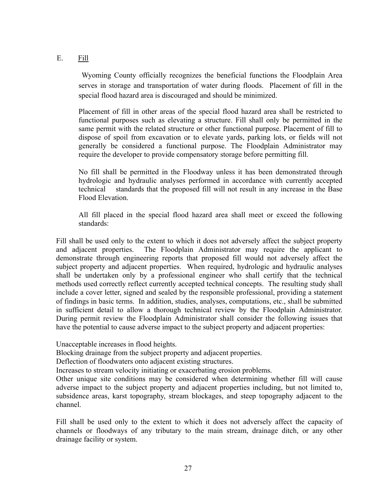# E. Fill

Wyoming County officially recognizes the beneficial functions the Floodplain Area serves in storage and transportation of water during floods. Placement of fill in the special flood hazard area is discouraged and should be minimized.

Placement of fill in other areas of the special flood hazard area shall be restricted to functional purposes such as elevating a structure. Fill shall only be permitted in the same permit with the related structure or other functional purpose. Placement of fill to dispose of spoil from excavation or to elevate yards, parking lots, or fields will not generally be considered a functional purpose. The Floodplain Administrator may require the developer to provide compensatory storage before permitting fill.

No fill shall be permitted in the Floodway unless it has been demonstrated through hydrologic and hydraulic analyses performed in accordance with currently accepted technical standards that the proposed fill will not result in any increase in the Base Flood Elevation.

All fill placed in the special flood hazard area shall meet or exceed the following standards:

Fill shall be used only to the extent to which it does not adversely affect the subject property and adjacent properties. The Floodplain Administrator may require the applicant to demonstrate through engineering reports that proposed fill would not adversely affect the subject property and adjacent properties. When required, hydrologic and hydraulic analyses shall be undertaken only by a professional engineer who shall certify that the technical methods used correctly reflect currently accepted technical concepts. The resulting study shall include a cover letter, signed and sealed by the responsible professional, providing a statement of findings in basic terms. In addition, studies, analyses, computations, etc., shall be submitted in sufficient detail to allow a thorough technical review by the Floodplain Administrator. During permit review the Floodplain Administrator shall consider the following issues that have the potential to cause adverse impact to the subject property and adjacent properties:

Unacceptable increases in flood heights.

Blocking drainage from the subject property and adjacent properties.

Deflection of floodwaters onto adjacent existing structures.

Increases to stream velocity initiating or exacerbating erosion problems.

Other unique site conditions may be considered when determining whether fill will cause adverse impact to the subject property and adjacent properties including, but not limited to, subsidence areas, karst topography, stream blockages, and steep topography adjacent to the channel.

Fill shall be used only to the extent to which it does not adversely affect the capacity of channels or floodways of any tributary to the main stream, drainage ditch, or any other drainage facility or system.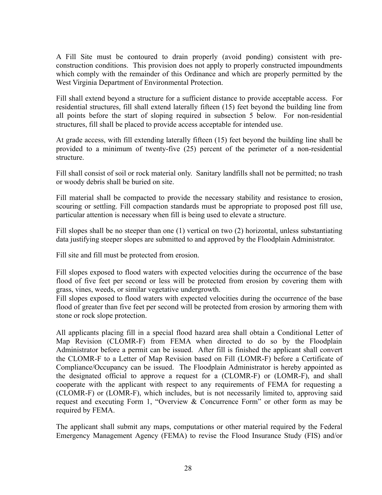A Fill Site must be contoured to drain properly (avoid ponding) consistent with preconstruction conditions. This provision does not apply to properly constructed impoundments which comply with the remainder of this Ordinance and which are properly permitted by the West Virginia Department of Environmental Protection.

Fill shall extend beyond a structure for a sufficient distance to provide acceptable access. For residential structures, fill shall extend laterally fifteen (15) feet beyond the building line from all points before the start of sloping required in subsection 5 below. For non-residential structures, fill shall be placed to provide access acceptable for intended use.

At grade access, with fill extending laterally fifteen (15) feet beyond the building line shall be provided to a minimum of twenty-five (25) percent of the perimeter of a non-residential structure.

Fill shall consist of soil or rock material only. Sanitary landfills shall not be permitted; no trash or woody debris shall be buried on site.

Fill material shall be compacted to provide the necessary stability and resistance to erosion, scouring or settling. Fill compaction standards must be appropriate to proposed post fill use, particular attention is necessary when fill is being used to elevate a structure.

Fill slopes shall be no steeper than one (1) vertical on two (2) horizontal, unless substantiating data justifying steeper slopes are submitted to and approved by the Floodplain Administrator.

Fill site and fill must be protected from erosion.

Fill slopes exposed to flood waters with expected velocities during the occurrence of the base flood of five feet per second or less will be protected from erosion by covering them with grass, vines, weeds, or similar vegetative undergrowth.

Fill slopes exposed to flood waters with expected velocities during the occurrence of the base flood of greater than five feet per second will be protected from erosion by armoring them with stone or rock slope protection.

All applicants placing fill in a special flood hazard area shall obtain a Conditional Letter of Map Revision (CLOMR-F) from FEMA when directed to do so by the Floodplain Administrator before a permit can be issued. After fill is finished the applicant shall convert the CLOMR-F to a Letter of Map Revision based on Fill (LOMR-F) before a Certificate of Compliance/Occupancy can be issued. The Floodplain Administrator is hereby appointed as the designated official to approve a request for a (CLOMR-F) or (LOMR-F), and shall cooperate with the applicant with respect to any requirements of FEMA for requesting a (CLOMR-F) or (LOMR-F), which includes, but is not necessarily limited to, approving said request and executing Form 1, "Overview & Concurrence Form" or other form as may be required by FEMA.

The applicant shall submit any maps, computations or other material required by the Federal Emergency Management Agency (FEMA) to revise the Flood Insurance Study (FIS) and/or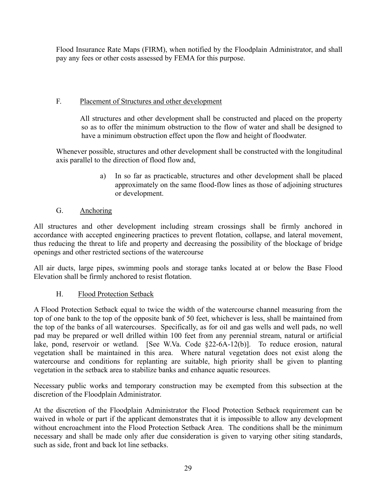Flood Insurance Rate Maps (FIRM), when notified by the Floodplain Administrator, and shall pay any fees or other costs assessed by FEMA for this purpose.

# F. Placement of Structures and other development

All structures and other development shall be constructed and placed on the property so as to offer the minimum obstruction to the flow of water and shall be designed to have a minimum obstruction effect upon the flow and height of floodwater.

Whenever possible, structures and other development shall be constructed with the longitudinal axis parallel to the direction of flood flow and,

> a) In so far as practicable, structures and other development shall be placed approximately on the same flood-flow lines as those of adjoining structures or development.

# G. Anchoring

All structures and other development including stream crossings shall be firmly anchored in accordance with accepted engineering practices to prevent flotation, collapse, and lateral movement, thus reducing the threat to life and property and decreasing the possibility of the blockage of bridge openings and other restricted sections of the watercourse

All air ducts, large pipes, swimming pools and storage tanks located at or below the Base Flood Elevation shall be firmly anchored to resist flotation.

# H. Flood Protection Setback

A Flood Protection Setback equal to twice the width of the watercourse channel measuring from the top of one bank to the top of the opposite bank of 50 feet, whichever is less, shall be maintained from the top of the banks of all watercourses. Specifically, as for oil and gas wells and well pads, no well pad may be prepared or well drilled within 100 feet from any perennial stream, natural or artificial lake, pond, reservoir or wetland. [See W.Va. Code §22-6A-12(b)]. To reduce erosion, natural vegetation shall be maintained in this area. Where natural vegetation does not exist along the watercourse and conditions for replanting are suitable, high priority shall be given to planting vegetation in the setback area to stabilize banks and enhance aquatic resources.

Necessary public works and temporary construction may be exempted from this subsection at the discretion of the Floodplain Administrator.

At the discretion of the Floodplain Administrator the Flood Protection Setback requirement can be waived in whole or part if the applicant demonstrates that it is impossible to allow any development without encroachment into the Flood Protection Setback Area. The conditions shall be the minimum necessary and shall be made only after due consideration is given to varying other siting standards, such as side, front and back lot line setbacks.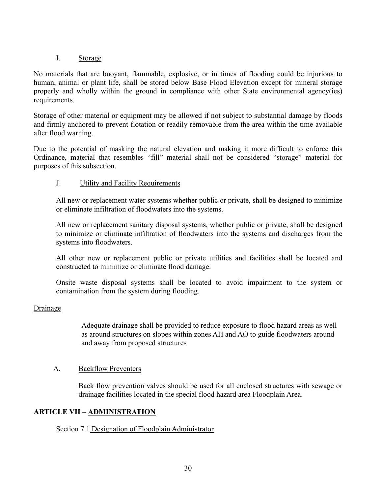## I. Storage

No materials that are buoyant, flammable, explosive, or in times of flooding could be injurious to human, animal or plant life, shall be stored below Base Flood Elevation except for mineral storage properly and wholly within the ground in compliance with other State environmental agency(ies) requirements.

Storage of other material or equipment may be allowed if not subject to substantial damage by floods and firmly anchored to prevent flotation or readily removable from the area within the time available after flood warning.

Due to the potential of masking the natural elevation and making it more difficult to enforce this Ordinance, material that resembles "fill" material shall not be considered "storage" material for purposes of this subsection.

# J. Utility and Facility Requirements

All new or replacement water systems whether public or private, shall be designed to minimize or eliminate infiltration of floodwaters into the systems.

All new or replacement sanitary disposal systems, whether public or private, shall be designed to minimize or eliminate infiltration of floodwaters into the systems and discharges from the systems into floodwaters.

All other new or replacement public or private utilities and facilities shall be located and constructed to minimize or eliminate flood damage.

Onsite waste disposal systems shall be located to avoid impairment to the system or contamination from the system during flooding.

## Drainage

Adequate drainage shall be provided to reduce exposure to flood hazard areas as well as around structures on slopes within zones AH and AO to guide floodwaters around and away from proposed structures

## A. Backflow Preventers

Back flow prevention valves should be used for all enclosed structures with sewage or drainage facilities located in the special flood hazard area Floodplain Area.

## **ARTICLE VII – ADMINISTRATION**

## Section 7.1 Designation of Floodplain Administrator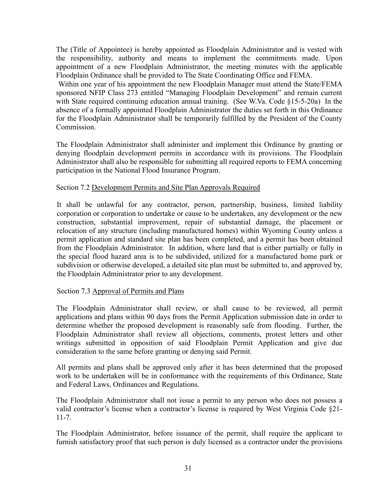The (Title of Appointee) is hereby appointed as Floodplain Administrator and is vested with the responsibility, authority and means to implement the commitments made. Upon appointment of a new Floodplain Administrator, the meeting minutes with the applicable Floodplain Ordinance shall be provided to The State Coordinating Office and FEMA.

Within one year of his appointment the new Floodplain Manager must attend the State/FEMA sponsored NFIP Class 273 entitled "Managing Floodplain Development" and remain current with State required continuing education annual training. (See W.Va. Code §15-5-20a) In the absence of a formally appointed Floodplain Administrator the duties set forth in this Ordinance for the Floodplain Administrator shall be temporarily fulfilled by the President of the County Commission.

The Floodplain Administrator shall administer and implement this Ordinance by granting or denying floodplain development permits in accordance with its provisions. The Floodplain Administrator shall also be responsible for submitting all required reports to FEMA concerning participation in the National Flood Insurance Program.

## Section 7.2 Development Permits and Site Plan Approvals Required

It shall be unlawful for any contractor, person, partnership, business, limited liability corporation or corporation to undertake or cause to be undertaken, any development or the new construction, substantial improvement, repair of substantial damage, the placement or relocation of any structure (including manufactured homes) within Wyoming County unless a permit application and standard site plan has been completed, and a permit has been obtained from the Floodplain Administrator. In addition, where land that is either partially or fully in the special flood hazard area is to be subdivided, utilized for a manufactured home park or subdivision or otherwise developed, a detailed site plan must be submitted to, and approved by, the Floodplain Administrator prior to any development.

## Section 7.3 Approval of Permits and Plans

The Floodplain Administrator shall review, or shall cause to be reviewed, all permit applications and plans within 90 days from the Permit Application submission date in order to determine whether the proposed development is reasonably safe from flooding. Further, the Floodplain Administrator shall review all objections, comments, protest letters and other writings submitted in opposition of said Floodplain Permit Application and give due consideration to the same before granting or denying said Permit.

All permits and plans shall be approved only after it has been determined that the proposed work to be undertaken will be in conformance with the requirements of this Ordinance, State and Federal Laws, Ordinances and Regulations.

The Floodplain Administrator shall not issue a permit to any person who does not possess a valid contractor's license when a contractor's license is required by West Virginia Code §21- 11-7.

The Floodplain Administrator, before issuance of the permit, shall require the applicant to furnish satisfactory proof that such person is duly licensed as a contractor under the provisions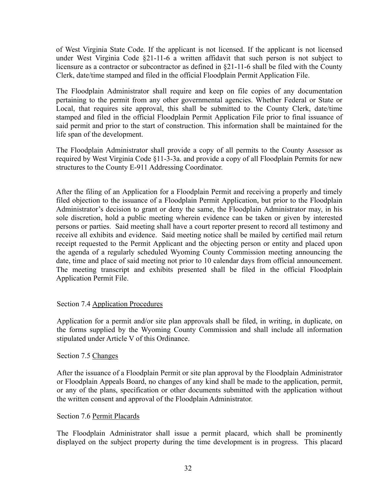of West Virginia State Code. If the applicant is not licensed. If the applicant is not licensed under West Virginia Code §21-11-6 a written affidavit that such person is not subject to licensure as a contractor or subcontractor as defined in §21-11-6 shall be filed with the County Clerk, date/time stamped and filed in the official Floodplain Permit Application File.

The Floodplain Administrator shall require and keep on file copies of any documentation pertaining to the permit from any other governmental agencies. Whether Federal or State or Local, that requires site approval, this shall be submitted to the County Clerk, date/time stamped and filed in the official Floodplain Permit Application File prior to final issuance of said permit and prior to the start of construction. This information shall be maintained for the life span of the development.

The Floodplain Administrator shall provide a copy of all permits to the County Assessor as required by West Virginia Code §11-3-3a. and provide a copy of all Floodplain Permits for new structures to the County E-911 Addressing Coordinator.

After the filing of an Application for a Floodplain Permit and receiving a properly and timely filed objection to the issuance of a Floodplain Permit Application, but prior to the Floodplain Administrator's decision to grant or deny the same, the Floodplain Administrator may, in his sole discretion, hold a public meeting wherein evidence can be taken or given by interested persons or parties. Said meeting shall have a court reporter present to record all testimony and receive all exhibits and evidence. Said meeting notice shall be mailed by certified mail return receipt requested to the Permit Applicant and the objecting person or entity and placed upon the agenda of a regularly scheduled Wyoming County Commission meeting announcing the date, time and place of said meeting not prior to 10 calendar days from official announcement. The meeting transcript and exhibits presented shall be filed in the official Floodplain Application Permit File.

#### Section 7.4 Application Procedures

Application for a permit and/or site plan approvals shall be filed, in writing, in duplicate, on the forms supplied by the Wyoming County Commission and shall include all information stipulated under Article V of this Ordinance.

#### Section 7.5 Changes

After the issuance of a Floodplain Permit or site plan approval by the Floodplain Administrator or Floodplain Appeals Board, no changes of any kind shall be made to the application, permit, or any of the plans, specification or other documents submitted with the application without the written consent and approval of the Floodplain Administrator.

#### Section 7.6 Permit Placards

The Floodplain Administrator shall issue a permit placard, which shall be prominently displayed on the subject property during the time development is in progress. This placard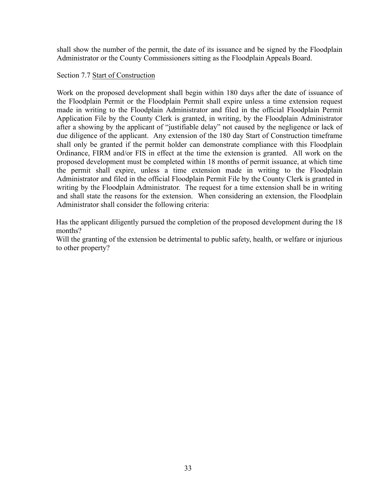shall show the number of the permit, the date of its issuance and be signed by the Floodplain Administrator or the County Commissioners sitting as the Floodplain Appeals Board.

#### Section 7.7 Start of Construction

Work on the proposed development shall begin within 180 days after the date of issuance of the Floodplain Permit or the Floodplain Permit shall expire unless a time extension request made in writing to the Floodplain Administrator and filed in the official Floodplain Permit Application File by the County Clerk is granted, in writing, by the Floodplain Administrator after a showing by the applicant of "justifiable delay" not caused by the negligence or lack of due diligence of the applicant. Any extension of the 180 day Start of Construction timeframe shall only be granted if the permit holder can demonstrate compliance with this Floodplain Ordinance, FIRM and/or FIS in effect at the time the extension is granted. All work on the proposed development must be completed within 18 months of permit issuance, at which time the permit shall expire, unless a time extension made in writing to the Floodplain Administrator and filed in the official Floodplain Permit File by the County Clerk is granted in writing by the Floodplain Administrator. The request for a time extension shall be in writing and shall state the reasons for the extension. When considering an extension, the Floodplain Administrator shall consider the following criteria:

Has the applicant diligently pursued the completion of the proposed development during the 18 months?

Will the granting of the extension be detrimental to public safety, health, or welfare or injurious to other property?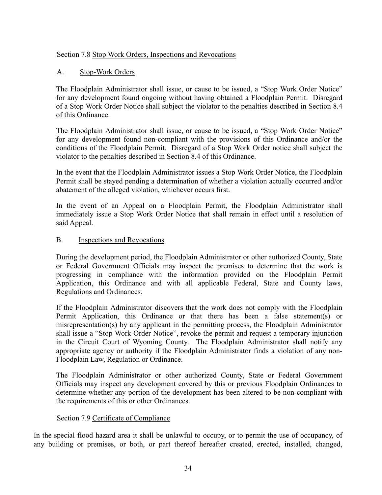# Section 7.8 Stop Work Orders, Inspections and Revocations

# A. Stop-Work Orders

The Floodplain Administrator shall issue, or cause to be issued, a "Stop Work Order Notice" for any development found ongoing without having obtained a Floodplain Permit. Disregard of a Stop Work Order Notice shall subject the violator to the penalties described in Section 8.4 of this Ordinance.

The Floodplain Administrator shall issue, or cause to be issued, a "Stop Work Order Notice" for any development found non-compliant with the provisions of this Ordinance and/or the conditions of the Floodplain Permit. Disregard of a Stop Work Order notice shall subject the violator to the penalties described in Section 8.4 of this Ordinance.

In the event that the Floodplain Administrator issues a Stop Work Order Notice, the Floodplain Permit shall be stayed pending a determination of whether a violation actually occurred and/or abatement of the alleged violation, whichever occurs first.

In the event of an Appeal on a Floodplain Permit, the Floodplain Administrator shall immediately issue a Stop Work Order Notice that shall remain in effect until a resolution of said Appeal.

## B. Inspections and Revocations

During the development period, the Floodplain Administrator or other authorized County, State or Federal Government Officials may inspect the premises to determine that the work is progressing in compliance with the information provided on the Floodplain Permit Application, this Ordinance and with all applicable Federal, State and County laws, Regulations and Ordinances.

If the Floodplain Administrator discovers that the work does not comply with the Floodplain Permit Application, this Ordinance or that there has been a false statement(s) or misrepresentation(s) by any applicant in the permitting process, the Floodplain Administrator shall issue a "Stop Work Order Notice", revoke the permit and request a temporary injunction in the Circuit Court of Wyoming County. The Floodplain Administrator shall notify any appropriate agency or authority if the Floodplain Administrator finds a violation of any non-Floodplain Law, Regulation or Ordinance.

The Floodplain Administrator or other authorized County, State or Federal Government Officials may inspect any development covered by this or previous Floodplain Ordinances to determine whether any portion of the development has been altered to be non-compliant with the requirements of this or other Ordinances.

## Section 7.9 Certificate of Compliance

In the special flood hazard area it shall be unlawful to occupy, or to permit the use of occupancy, of any building or premises, or both, or part thereof hereafter created, erected, installed, changed,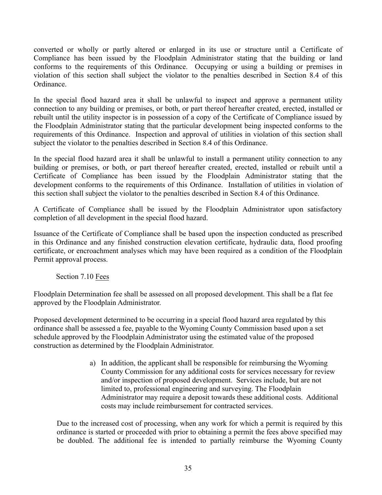converted or wholly or partly altered or enlarged in its use or structure until a Certificate of Compliance has been issued by the Floodplain Administrator stating that the building or land conforms to the requirements of this Ordinance. Occupying or using a building or premises in violation of this section shall subject the violator to the penalties described in Section 8.4 of this Ordinance.

In the special flood hazard area it shall be unlawful to inspect and approve a permanent utility connection to any building or premises, or both, or part thereof hereafter created, erected, installed or rebuilt until the utility inspector is in possession of a copy of the Certificate of Compliance issued by the Floodplain Administrator stating that the particular development being inspected conforms to the requirements of this Ordinance. Inspection and approval of utilities in violation of this section shall subject the violator to the penalties described in Section 8.4 of this Ordinance.

In the special flood hazard area it shall be unlawful to install a permanent utility connection to any building or premises, or both, or part thereof hereafter created, erected, installed or rebuilt until a Certificate of Compliance has been issued by the Floodplain Administrator stating that the development conforms to the requirements of this Ordinance. Installation of utilities in violation of this section shall subject the violator to the penalties described in Section 8.4 of this Ordinance.

A Certificate of Compliance shall be issued by the Floodplain Administrator upon satisfactory completion of all development in the special flood hazard.

Issuance of the Certificate of Compliance shall be based upon the inspection conducted as prescribed in this Ordinance and any finished construction elevation certificate, hydraulic data, flood proofing certificate, or encroachment analyses which may have been required as a condition of the Floodplain Permit approval process.

Section 7.10 Fees

Floodplain Determination fee shall be assessed on all proposed development. This shall be a flat fee approved by the Floodplain Administrator.

Proposed development determined to be occurring in a special flood hazard area regulated by this ordinance shall be assessed a fee, payable to the Wyoming County Commission based upon a set schedule approved by the Floodplain Administrator using the estimated value of the proposed construction as determined by the Floodplain Administrator.

> a) In addition, the applicant shall be responsible for reimbursing the Wyoming County Commission for any additional costs for services necessary for review and/or inspection of proposed development. Services include, but are not limited to, professional engineering and surveying. The Floodplain Administrator may require a deposit towards these additional costs. Additional costs may include reimbursement for contracted services.

Due to the increased cost of processing, when any work for which a permit is required by this ordinance is started or proceeded with prior to obtaining a permit the fees above specified may be doubled. The additional fee is intended to partially reimburse the Wyoming County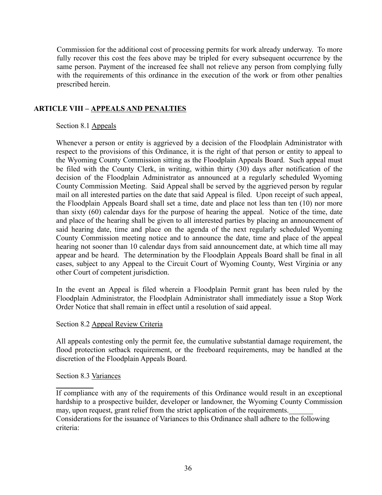Commission for the additional cost of processing permits for work already underway. To more fully recover this cost the fees above may be tripled for every subsequent occurrence by the same person. Payment of the increased fee shall not relieve any person from complying fully with the requirements of this ordinance in the execution of the work or from other penalties prescribed herein.

# **ARTICLE VIII – APPEALS AND PENALTIES**

## Section 8.1 Appeals

Whenever a person or entity is aggrieved by a decision of the Floodplain Administrator with respect to the provisions of this Ordinance, it is the right of that person or entity to appeal to the Wyoming County Commission sitting as the Floodplain Appeals Board. Such appeal must be filed with the County Clerk, in writing, within thirty (30) days after notification of the decision of the Floodplain Administrator as announced at a regularly scheduled Wyoming County Commission Meeting. Said Appeal shall be served by the aggrieved person by regular mail on all interested parties on the date that said Appeal is filed. Upon receipt of such appeal, the Floodplain Appeals Board shall set a time, date and place not less than ten (10) nor more than sixty (60) calendar days for the purpose of hearing the appeal. Notice of the time, date and place of the hearing shall be given to all interested parties by placing an announcement of said hearing date, time and place on the agenda of the next regularly scheduled Wyoming County Commission meeting notice and to announce the date, time and place of the appeal hearing not sooner than 10 calendar days from said announcement date, at which time all may appear and be heard. The determination by the Floodplain Appeals Board shall be final in all cases, subject to any Appeal to the Circuit Court of Wyoming County, West Virginia or any other Court of competent jurisdiction.

In the event an Appeal is filed wherein a Floodplain Permit grant has been ruled by the Floodplain Administrator, the Floodplain Administrator shall immediately issue a Stop Work Order Notice that shall remain in effect until a resolution of said appeal.

#### Section 8.2 Appeal Review Criteria

All appeals contesting only the permit fee, the cumulative substantial damage requirement, the flood protection setback requirement, or the freeboard requirements, may be handled at the discretion of the Floodplain Appeals Board.

#### Section 8.3 Variances

 If compliance with any of the requirements of this Ordinance would result in an exceptional hardship to a prospective builder, developer or landowner, the Wyoming County Commission may, upon request, grant relief from the strict application of the requirements. Considerations for the issuance of Variances to this Ordinance shall adhere to the following criteria: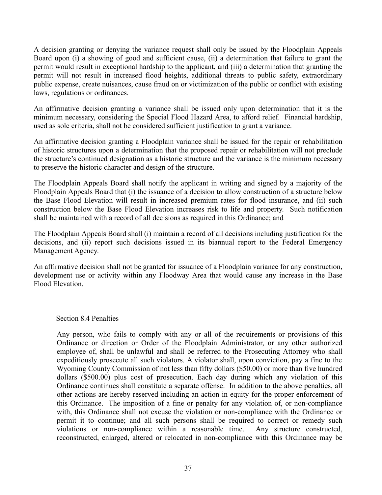A decision granting or denying the variance request shall only be issued by the Floodplain Appeals Board upon (i) a showing of good and sufficient cause, (ii) a determination that failure to grant the permit would result in exceptional hardship to the applicant, and (iii) a determination that granting the permit will not result in increased flood heights, additional threats to public safety, extraordinary public expense, create nuisances, cause fraud on or victimization of the public or conflict with existing laws, regulations or ordinances.

An affirmative decision granting a variance shall be issued only upon determination that it is the minimum necessary, considering the Special Flood Hazard Area, to afford relief. Financial hardship, used as sole criteria, shall not be considered sufficient justification to grant a variance.

An affirmative decision granting a Floodplain variance shall be issued for the repair or rehabilitation of historic structures upon a determination that the proposed repair or rehabilitation will not preclude the structure's continued designation as a historic structure and the variance is the minimum necessary to preserve the historic character and design of the structure.

The Floodplain Appeals Board shall notify the applicant in writing and signed by a majority of the Floodplain Appeals Board that (i) the issuance of a decision to allow construction of a structure below the Base Flood Elevation will result in increased premium rates for flood insurance, and (ii) such construction below the Base Flood Elevation increases risk to life and property. Such notification shall be maintained with a record of all decisions as required in this Ordinance; and

The Floodplain Appeals Board shall (i) maintain a record of all decisions including justification for the decisions, and (ii) report such decisions issued in its biannual report to the Federal Emergency Management Agency.

An affirmative decision shall not be granted for issuance of a Floodplain variance for any construction, development use or activity within any Floodway Area that would cause any increase in the Base Flood Elevation.

#### Section 8.4 Penalties

Any person, who fails to comply with any or all of the requirements or provisions of this Ordinance or direction or Order of the Floodplain Administrator, or any other authorized employee of, shall be unlawful and shall be referred to the Prosecuting Attorney who shall expeditiously prosecute all such violators. A violator shall, upon conviction, pay a fine to the Wyoming County Commission of not less than fifty dollars (\$50.00) or more than five hundred dollars (\$500.00) plus cost of prosecution. Each day during which any violation of this Ordinance continues shall constitute a separate offense. In addition to the above penalties, all other actions are hereby reserved including an action in equity for the proper enforcement of this Ordinance. The imposition of a fine or penalty for any violation of, or non-compliance with, this Ordinance shall not excuse the violation or non-compliance with the Ordinance or permit it to continue; and all such persons shall be required to correct or remedy such violations or non-compliance within a reasonable time. Any structure constructed, reconstructed, enlarged, altered or relocated in non-compliance with this Ordinance may be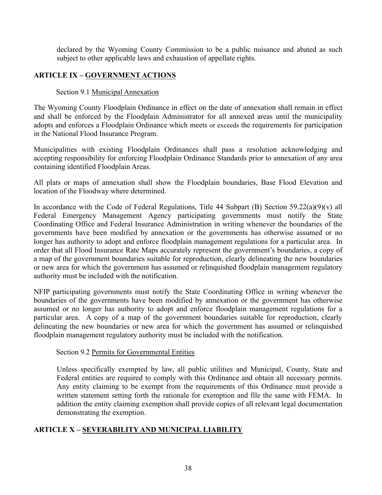declared by the Wyoming County Commission to be a public nuisance and abated as such subject to other applicable laws and exhaustion of appellate rights.

# **ARTICLE IX – GOVERNMENT ACTIONS**

## Section 9.1 Municipal Annexation

The Wyoming County Floodplain Ordinance in effect on the date of annexation shall remain in effect and shall be enforced by the Floodplain Administrator for all annexed areas until the municipality adopts and enforces a Floodplain Ordinance which meets or exceeds the requirements for participation in the National Flood Insurance Program.

Municipalities with existing Floodplain Ordinances shall pass a resolution acknowledging and accepting responsibility for enforcing Floodplain Ordinance Standards prior to annexation of any area containing identified Floodplain Areas.

All plats or maps of annexation shall show the Floodplain boundaries, Base Flood Elevation and location of the Floodway where determined.

In accordance with the Code of Federal Regulations, Title 44 Subpart (B) Section 59.22(a)(9)(v) all Federal Emergency Management Agency participating governments must notify the State Coordinating Office and Federal Insurance Administration in writing whenever the boundaries of the governments have been modified by annexation or the governments has otherwise assumed or no longer has authority to adopt and enforce floodplain management regulations for a particular area. In order that all Flood Insurance Rate Maps accurately represent the government's boundaries, a copy of a map of the government boundaries suitable for reproduction, clearly delineating the new boundaries or new area for which the government has assumed or relinquished floodplain management regulatory authority must be included with the notification.

NFIP participating governments must notify the State Coordinating Office in writing whenever the boundaries of the governments have been modified by annexation or the government has otherwise assumed or no longer has authority to adopt and enforce floodplain management regulations for a particular area. A copy of a map of the government boundaries suitable for reproduction, clearly delineating the new boundaries or new area for which the government has assumed or relinquished floodplain management regulatory authority must be included with the notification.

#### Section 9.2 Permits for Governmental Entities

Unless specifically exempted by law, all public utilities and Municipal, County, State and Federal entities are required to comply with this Ordinance and obtain all necessary permits. Any entity claiming to be exempt from the requirements of this Ordinance must provide a written statement setting forth the rationale for exemption and file the same with FEMA. In addition the entity claiming exemption shall provide copies of all relevant legal documentation demonstrating the exemption.

## **ARTICLE X – SEVERABILITY AND MUNICIPAL LIABILITY**